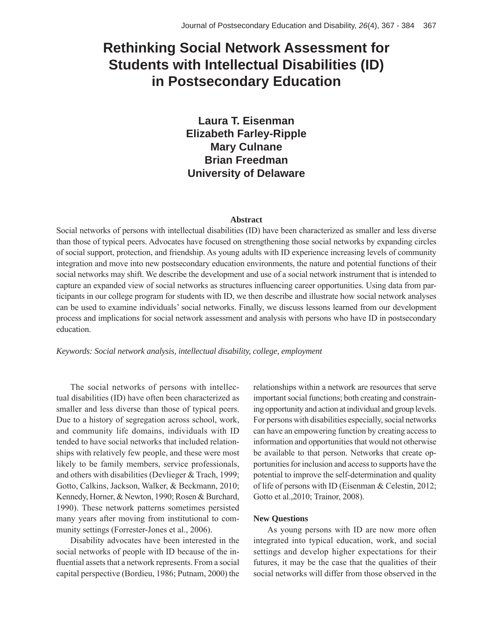# **Rethinking Social Network Assessment for Students with Intellectual Disabilities (ID) in Postsecondary Education**

**Laura T. Eisenman Elizabeth Farley-Ripple Mary Culnane Brian Freedman University of Delaware**

#### **Abstract**

Social networks of persons with intellectual disabilities (ID) have been characterized as smaller and less diverse than those of typical peers. Advocates have focused on strengthening those social networks by expanding circles of social support, protection, and friendship. As young adults with ID experience increasing levels of community integration and move into new postsecondary education environments, the nature and potential functions of their social networks may shift. We describe the development and use of a social network instrument that is intended to capture an expanded view of social networks as structures influencing career opportunities. Using data from participants in our college program for students with ID, we then describe and illustrate how social network analyses can be used to examine individuals' social networks. Finally, we discuss lessons learned from our development process and implications for social network assessment and analysis with persons who have ID in postsecondary education.

*Keywords: Social network analysis, intellectual disability, college, employment*

The social networks of persons with intellectual disabilities (ID) have often been characterized as smaller and less diverse than those of typical peers. Due to a history of segregation across school, work, and community life domains, individuals with ID tended to have social networks that included relationships with relatively few people, and these were most likely to be family members, service professionals, and others with disabilities (Devlieger & Trach, 1999; Gotto, Calkins, Jackson, Walker, & Beckmann, 2010; Kennedy, Horner, & Newton, 1990; Rosen & Burchard, 1990). These network patterns sometimes persisted many years after moving from institutional to community settings (Forrester-Jones et al., 2006).

Disability advocates have been interested in the social networks of people with ID because of the influential assets that a network represents. From a social capital perspective (Bordieu, 1986; Putnam, 2000) the relationships within a network are resources that serve important social functions; both creating and constraining opportunity and action at individual and group levels. For persons with disabilities especially, social networks can have an empowering function by creating access to information and opportunities that would not otherwise be available to that person. Networks that create opportunities for inclusion and access to supports have the potential to improve the self-determination and quality of life of persons with ID (Eisenman & Celestin, 2012; Gotto et al.,2010; Trainor, 2008).

#### **New Questions**

As young persons with ID are now more often integrated into typical education, work, and social settings and develop higher expectations for their futures, it may be the case that the qualities of their social networks will differ from those observed in the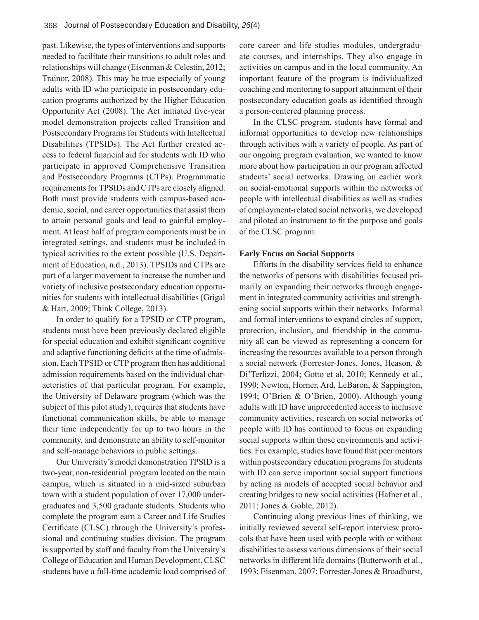past. Likewise, the types of interventions and supports needed to facilitate their transitions to adult roles and relationships will change (Eisenman & Celestin, 2012; Trainor, 2008). This may be true especially of young adults with ID who participate in postsecondary education programs authorized by the Higher Education Opportunity Act (2008). The Act initiated five-year model demonstration projects called Transition and Postsecondary Programs for Students with Intellectual Disabilities (TPSIDs). The Act further created access to federal financial aid for students with ID who participate in approved Comprehensive Transition and Postsecondary Programs (CTPs). Programmatic requirements for TPSIDs and CTPs are closely aligned. Both must provide students with campus-based academic, social, and career opportunities that assist them to attain personal goals and lead to gainful employment. At least half of program components must be in integrated settings, and students must be included in typical activities to the extent possible (U.S. Department of Education, n.d., 2013). TPSIDs and CTPs are part of a larger movement to increase the number and variety of inclusive postsecondary education opportunities for students with intellectual disabilities (Grigal & Hart, 2009; Think College, 2013).

In order to qualify for a TPSID or CTP program, students must have been previously declared eligible for special education and exhibit significant cognitive and adaptive functioning deficits at the time of admission. Each TPSID or CTP program then has additional admission requirements based on the individual characteristics of that particular program. For example, the University of Delaware program (which was the subject of this pilot study), requires that students have functional communication skills, be able to manage their time independently for up to two hours in the community, and demonstrate an ability to self-monitor and self-manage behaviors in public settings.

Our University's model demonstration TPSID is a two-year, non-residential program located on the main campus, which is situated in a mid-sized suburban town with a student population of over 17,000 undergraduates and 3,500 graduate students. Students who complete the program earn a Career and Life Studies Certificate (CLSC) through the University's professional and continuing studies division. The program is supported by staff and faculty from the University's College of Education and Human Development. CLSC students have a full-time academic load comprised of core career and life studies modules, undergraduate courses, and internships. They also engage in activities on campus and in the local community. An important feature of the program is individualized coaching and mentoring to support attainment of their postsecondary education goals as identified through a person-centered planning process.

In the CLSC program, students have formal and informal opportunities to develop new relationships through activities with a variety of people. As part of our ongoing program evaluation, we wanted to know more about how participation in our program affected students' social networks. Drawing on earlier work on social-emotional supports within the networks of people with intellectual disabilities as well as studies of employment-related social networks, we developed and piloted an instrument to fit the purpose and goals of the CLSC program.

#### **Early Focus on Social Supports**

Efforts in the disability services field to enhance the networks of persons with disabilities focused primarily on expanding their networks through engagement in integrated community activities and strengthening social supports within their networks. Informal and formal interventions to expand circles of support, protection, inclusion, and friendship in the community all can be viewed as representing a concern for increasing the resources available to a person through a social network (Forrester-Jones, Jones, Heason, & Di'Terlizzi, 2004; Gotto et al, 2010; Kennedy et al., 1990; Newton, Horner, Ard, LeBaron, & Sappington, 1994; O'Brien & O'Brien, 2000). Although young adults with ID have unprecedented access to inclusive community activities, research on social networks of people with ID has continued to focus on expanding social supports within those environments and activities. For example, studies have found that peer mentors within postsecondary education programs for students with ID can serve important social support functions by acting as models of accepted social behavior and creating bridges to new social activities (Hafner et al., 2011; Jones & Goble, 2012).

Continuing along previous lines of thinking, we initially reviewed several self-report interview protocols that have been used with people with or without disabilities to assess various dimensions of their social networks in different life domains (Butterworth et al., 1993; Eisenman, 2007; Forrester-Jones & Broadhurst,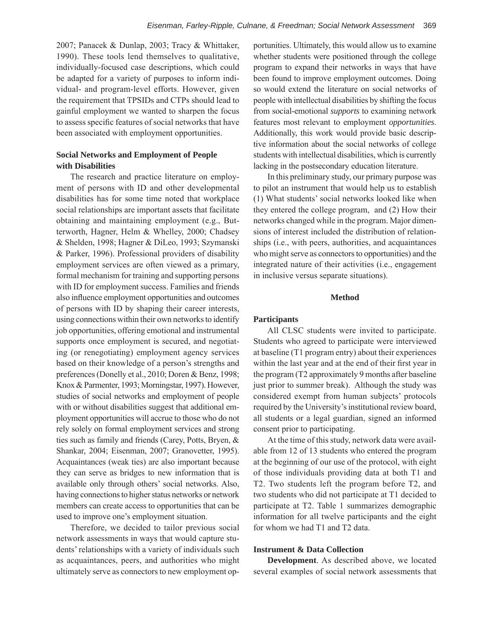2007; Panacek & Dunlap, 2003; Tracy & Whittaker, 1990). These tools lend themselves to qualitative, individually-focused case descriptions, which could be adapted for a variety of purposes to inform individual- and program-level efforts. However, given the requirement that TPSIDs and CTPs should lead to gainful employment we wanted to sharpen the focus to assess specific features of social networks that have been associated with employment opportunities.

## **Social Networks and Employment of People with Disabilities**

The research and practice literature on employment of persons with ID and other developmental disabilities has for some time noted that workplace social relationships are important assets that facilitate obtaining and maintaining employment (e.g., Butterworth, Hagner, Helm & Whelley, 2000; Chadsey & Shelden, 1998; Hagner & DiLeo, 1993; Szymanski & Parker, 1996). Professional providers of disability employment services are often viewed as a primary, formal mechanism for training and supporting persons with ID for employment success. Families and friends also influence employment opportunities and outcomes of persons with ID by shaping their career interests, using connections within their own networks to identify job opportunities, offering emotional and instrumental supports once employment is secured, and negotiating (or renegotiating) employment agency services based on their knowledge of a person's strengths and preferences (Donelly et al., 2010; Doren & Benz, 1998; Knox & Parmenter, 1993; Morningstar, 1997). However, studies of social networks and employment of people with or without disabilities suggest that additional employment opportunities will accrue to those who do not rely solely on formal employment services and strong ties such as family and friends (Carey, Potts, Bryen, & Shankar, 2004; Eisenman, 2007; Granovetter, 1995). Acquaintances (weak ties) are also important because they can serve as bridges to new information that is available only through others' social networks. Also, having connections to higher status networks or network members can create access to opportunities that can be used to improve one's employment situation.

Therefore, we decided to tailor previous social network assessments in ways that would capture students' relationships with a variety of individuals such as acquaintances, peers, and authorities who might ultimately serve as connectors to new employment opportunities. Ultimately, this would allow us to examine whether students were positioned through the college program to expand their networks in ways that have been found to improve employment outcomes. Doing so would extend the literature on social networks of people with intellectual disabilities by shifting the focus from social-emotional *supports* to examining network features most relevant to employment *opportunities*. Additionally, this work would provide basic descriptive information about the social networks of college students with intellectual disabilities, which is currently lacking in the postsecondary education literature.

In this preliminary study, our primary purpose was to pilot an instrument that would help us to establish (1) What students' social networks looked like when they entered the college program, and (2) How their networks changed while in the program. Major dimensions of interest included the distribution of relationships (i.e., with peers, authorities, and acquaintances who might serve as connectors to opportunities) and the integrated nature of their activities (i.e., engagement in inclusive versus separate situations).

#### **Method**

#### **Participants**

All CLSC students were invited to participate. Students who agreed to participate were interviewed at baseline (T1 program entry) about their experiences within the last year and at the end of their first year in the program (T2 approximately 9 months after baseline just prior to summer break). Although the study was considered exempt from human subjects' protocols required by the University's institutional review board, all students or a legal guardian, signed an informed consent prior to participating.

At the time of this study, network data were available from 12 of 13 students who entered the program at the beginning of our use of the protocol, with eight of those individuals providing data at both T1 and T2. Two students left the program before T2, and two students who did not participate at T1 decided to participate at T2. Table 1 summarizes demographic information for all twelve participants and the eight for whom we had T1 and T2 data.

#### **Instrument & Data Collection**

**Development**. As described above, we located several examples of social network assessments that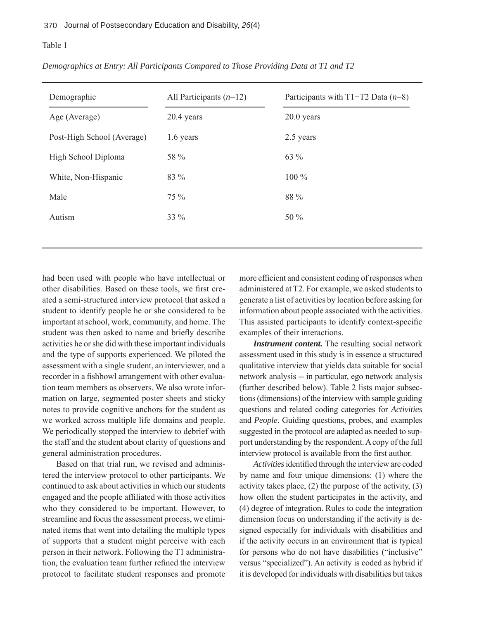| Demographic                | All Participants $(n=12)$ | Participants with $T1+T2$ Data ( $n=8$ ) |
|----------------------------|---------------------------|------------------------------------------|
| Age (Average)              | $20.4$ years              | 20.0 years                               |
| Post-High School (Average) | 1.6 years                 | 2.5 years                                |
| High School Diploma        | 58 %                      | 63 %                                     |
| White, Non-Hispanic        | 83 %                      | 100 %                                    |
| Male                       | 75 %                      | 88 %                                     |
| Autism                     | 33 %                      | 50 $\%$                                  |
|                            |                           |                                          |

*Demographics at Entry: All Participants Compared to Those Providing Data at T1 and T2*

had been used with people who have intellectual or other disabilities. Based on these tools, we first created a semi-structured interview protocol that asked a student to identify people he or she considered to be important at school, work, community, and home. The student was then asked to name and briefly describe activities he or she did with these important individuals and the type of supports experienced. We piloted the assessment with a single student, an interviewer, and a recorder in a fishbowl arrangement with other evaluation team members as observers. We also wrote information on large, segmented poster sheets and sticky notes to provide cognitive anchors for the student as we worked across multiple life domains and people. We periodically stopped the interview to debrief with the staff and the student about clarity of questions and general administration procedures.

Based on that trial run, we revised and administered the interview protocol to other participants. We continued to ask about activities in which our students engaged and the people affiliated with those activities who they considered to be important. However, to streamline and focus the assessment process, we eliminated items that went into detailing the multiple types of supports that a student might perceive with each person in their network. Following the T1 administration, the evaluation team further refined the interview protocol to facilitate student responses and promote more efficient and consistent coding of responses when administered at T2. For example, we asked students to generate a list of activities by location before asking for information about people associated with the activities. This assisted participants to identify context-specific examples of their interactions.

*Instrument content.* The resulting social network assessment used in this study is in essence a structured qualitative interview that yields data suitable for social network analysis -- in particular, ego network analysis (further described below). Table 2 lists major subsections (dimensions) of the interview with sample guiding questions and related coding categories for *Activities*  and *People*. Guiding questions, probes, and examples suggested in the protocol are adapted as needed to support understanding by the respondent. A copy of the full interview protocol is available from the first author.

Activities identified through the interview are coded by name and four unique dimensions: (1) where the activity takes place, (2) the purpose of the activity, (3) how often the student participates in the activity, and (4) degree of integration. Rules to code the integration dimension focus on understanding if the activity is designed especially for individuals with disabilities and if the activity occurs in an environment that is typical for persons who do not have disabilities ("inclusive" versus "specialized"). An activity is coded as hybrid if it is developed for individuals with disabilities but takes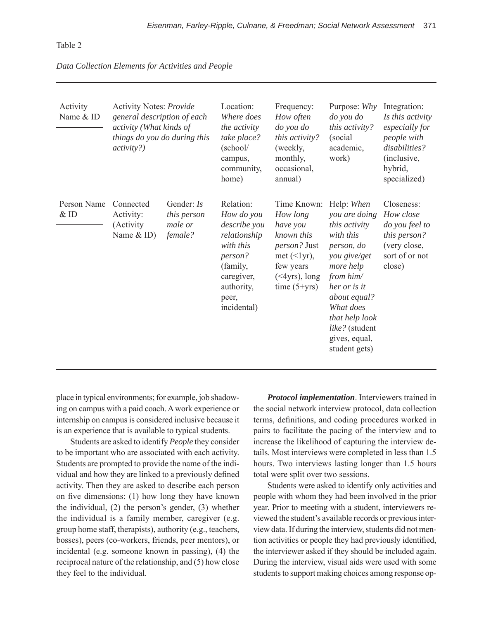#### *Data Collection Elements for Activities and People*

| Activity<br>Name & ID | Activity Notes: Provide<br>general description of each<br>activity (What kinds of<br>things do you do during this<br><i>activity?</i> ) |                                                 | Location:<br>Where does<br>the activity<br>take place?<br>(school/<br>campus,<br>community,<br>home)                                            | Frequency:<br>How often<br>do you do<br>this activity?<br>(weekly,<br>monthly,<br>occasional,<br>annual)                                          | Purpose: Why<br>do you do<br>this activity?<br>(social)<br>academic,<br>work)                                                                                                                                                        | Integration:<br>Is this activity<br>especially for<br>people with<br>disabilities?<br>(inclusive,<br>hybrid,<br>specialized) |
|-----------------------|-----------------------------------------------------------------------------------------------------------------------------------------|-------------------------------------------------|-------------------------------------------------------------------------------------------------------------------------------------------------|---------------------------------------------------------------------------------------------------------------------------------------------------|--------------------------------------------------------------------------------------------------------------------------------------------------------------------------------------------------------------------------------------|------------------------------------------------------------------------------------------------------------------------------|
| Person Name<br>& ID   | Connected<br>Activity:<br>(Activity<br>Name $&$ ID)                                                                                     | Gender: Is<br>this person<br>male or<br>female? | Relation:<br>How do you<br>describe you<br>relationship<br>with this<br>person?<br>(family,<br>caregiver,<br>authority,<br>peer,<br>incidental) | Time Known:<br>How long<br>have you<br>known this<br><i>person?</i> Just<br>met $(\leq 1$ yr),<br>few years<br>$(*4yrs)$ , long<br>time $(5+yrs)$ | Help: When<br>you are doing<br>this activity<br>with this<br>person, do<br>you give/get<br>more help<br>from him/<br>her or is it<br>about equal?<br>What does<br>that help look<br>like? (student<br>gives, equal,<br>student gets) | Closeness:<br>How close<br>do you feel to<br>this person?<br>(very close,<br>sort of or not<br>close)                        |

place in typical environments; for example, job shadowing on campus with a paid coach. A work experience or internship on campus is considered inclusive because it is an experience that is available to typical students.

Students are asked to identify *People* they consider to be important who are associated with each activity. Students are prompted to provide the name of the individual and how they are linked to a previously defined activity. Then they are asked to describe each person on five dimensions:  $(1)$  how long they have known the individual, (2) the person's gender, (3) whether the individual is a family member, caregiver (e.g. group home staff, therapists), authority (e.g., teachers, bosses), peers (co-workers, friends, peer mentors), or incidental (e.g. someone known in passing), (4) the reciprocal nature of the relationship, and (5) how close they feel to the individual.

*Protocol implementation*. Interviewers trained in the social network interview protocol, data collection terms, definitions, and coding procedures worked in pairs to facilitate the pacing of the interview and to increase the likelihood of capturing the interview details. Most interviews were completed in less than 1.5 hours. Two interviews lasting longer than 1.5 hours total were split over two sessions.

Students were asked to identify only activities and people with whom they had been involved in the prior year. Prior to meeting with a student, interviewers reviewed the student's available records or previous interview data. If during the interview, students did not mention activities or people they had previously identified, the interviewer asked if they should be included again. During the interview, visual aids were used with some students to support making choices among response op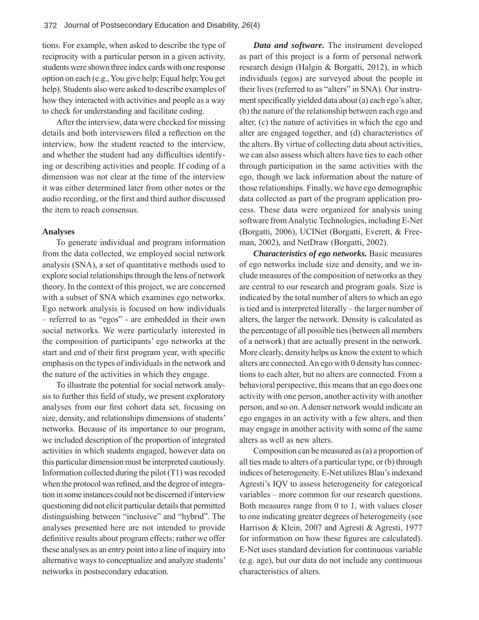tions. For example, when asked to describe the type of reciprocity with a particular person in a given activity, students were shown three index cards with one response option on each (e.g., You give help; Equal help; You get help). Students also were asked to describe examples of how they interacted with activities and people as a way to check for understanding and facilitate coding.

After the interview, data were checked for missing details and both interviewers filed a reflection on the interview, how the student reacted to the interview, and whether the student had any difficulties identifying or describing activities and people. If coding of a dimension was not clear at the time of the interview it was either determined later from other notes or the audio recording, or the first and third author discussed the item to reach consensus.

#### **Analyses**

To generate individual and program information from the data collected, we employed social network analysis (SNA), a set of quantitative methods used to explore social relationships through the lens of network theory. In the context of this project, we are concerned with a subset of SNA which examines ego networks. Ego network analysis is focused on how individuals – referred to as "egos" - are embedded in their own social networks. We were particularly interested in the composition of participants' ego networks at the start and end of their first program year, with specific emphasis on the types of individuals in the network and the nature of the activities in which they engage.

To illustrate the potential for social network analysis to further this field of study, we present exploratory analyses from our first cohort data set, focusing on size, density, and relationships dimensions of students' networks. Because of its importance to our program, we included description of the proportion of integrated activities in which students engaged, however data on this particular dimension must be interpreted cautiously. Information collected during the pilot (T1) was recoded when the protocol was refined, and the degree of integration in some instances could not be discerned if interview questioning did not elicit particular details that permitted distinguishing between "inclusive" and "hybrid". The analyses presented here are not intended to provide definitive results about program effects; rather we offer these analyses as an entry point into a line of inquiry into alternative ways to conceptualize and analyze students' networks in postsecondary education.

*Data and software.* The instrument developed as part of this project is a form of personal network research design (Halgin & Borgatti, 2012), in which individuals (egos) are surveyed about the people in their lives (referred to as "alters" in SNA). Our instrument specifically yielded data about (a) each ego's alter, (b) the nature of the relationship between each ego and alter, (c) the nature of activities in which the ego and alter are engaged together, and (d) characteristics of the alters. By virtue of collecting data about activities, we can also assess which alters have ties to each other through participation in the same activities with the ego, though we lack information about the nature of those relationships. Finally, we have ego demographic data collected as part of the program application process. These data were organized for analysis using software from Analytic Technologies, including E-Net (Borgatti, 2006), UCINet (Borgatti, Everett, & Freeman, 2002), and NetDraw (Borgatti, 2002).

*Characteristics of ego networks.* Basic measures of ego networks include size and density, and we include measures of the composition of networks as they are central to our research and program goals. Size is indicated by the total number of alters to which an ego is tied and is interpreted literally – the larger number of alters, the larger the network. Density is calculated as the percentage of all possible ties (between all members of a network) that are actually present in the network. More clearly, density helps us know the extent to which alters are connected. An ego with 0 density has connections to each alter, but no alters are connected. From a behavioral perspective, this means that an ego does one activity with one person, another activity with another person, and so on. A denser network would indicate an ego engages in an activity with a few alters, and then may engage in another activity with some of the same alters as well as new alters.

Composition can be measured as (a) a proportion of all ties made to alters of a particular type, or (b) through indices of heterogeneity. E-Net utilizes Blau's indexand Agresti's IQV to assess heterogeneity for categorical variables – more common for our research questions. Both measures range from 0 to 1, with values closer to one indicating greater degrees of heterogeneity (see Harrison & Klein, 2007 and Agresti & Agresti, 1977 for information on how these figures are calculated). E-Net uses standard deviation for continuous variable (e.g. age), but our data do not include any continuous characteristics of alters.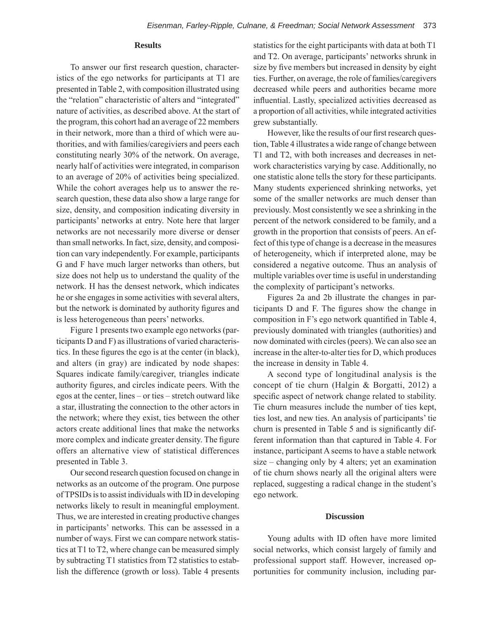#### **Results**

To answer our first research question, characteristics of the ego networks for participants at T1 are presented in Table 2, with composition illustrated using the "relation" characteristic of alters and "integrated" nature of activities, as described above. At the start of the program, this cohort had an average of 22 members in their network, more than a third of which were authorities, and with families/caregiviers and peers each constituting nearly 30% of the network. On average, nearly half of activities were integrated, in comparison to an average of 20% of activities being specialized. While the cohort averages help us to answer the research question, these data also show a large range for size, density, and composition indicating diversity in participants' networks at entry. Note here that larger networks are not necessarily more diverse or denser than small networks. In fact, size, density, and composition can vary independently. For example, participants G and F have much larger networks than others, but size does not help us to understand the quality of the network. H has the densest network, which indicates he or she engages in some activities with several alters, but the network is dominated by authority figures and is less heterogeneous than peers' networks.

Figure 1 presents two example ego networks (participants D and F) as illustrations of varied characteristics. In these figures the ego is at the center (in black), and alters (in gray) are indicated by node shapes: Squares indicate family/caregiver, triangles indicate authority figures, and circles indicate peers. With the egos at the center, lines – or ties – stretch outward like a star, illustrating the connection to the other actors in the network; where they exist, ties between the other actors create additional lines that make the networks more complex and indicate greater density. The figure offers an alternative view of statistical differences presented in Table 3.

Our second research question focused on change in networks as an outcome of the program. One purpose of TPSIDs is to assist individuals with ID in developing networks likely to result in meaningful employment. Thus, we are interested in creating productive changes in participants' networks. This can be assessed in a number of ways. First we can compare network statistics at T1 to T2, where change can be measured simply by subtracting T1 statistics from T2 statistics to establish the difference (growth or loss). Table 4 presents

statistics for the eight participants with data at both T1 and T2. On average, participants' networks shrunk in size by five members but increased in density by eight ties. Further, on average, the role of families/caregivers decreased while peers and authorities became more influential. Lastly, specialized activities decreased as a proportion of all activities, while integrated activities grew substantially.

However, like the results of our first research question, Table 4 illustrates a wide range of change between T1 and T2, with both increases and decreases in network characteristics varying by case. Additionally, no one statistic alone tells the story for these participants. Many students experienced shrinking networks, yet some of the smaller networks are much denser than previously. Most consistently we see a shrinking in the percent of the network considered to be family, and a growth in the proportion that consists of peers. An effect of this type of change is a decrease in the measures of heterogeneity, which if interpreted alone, may be considered a negative outcome. Thus an analysis of multiple variables over time is useful in understanding the complexity of participant's networks.

Figures 2a and 2b illustrate the changes in participants D and F. The figures show the change in composition in F's ego network quantified in Table 4, previously dominated with triangles (authorities) and now dominated with circles (peers). We can also see an increase in the alter-to-alter ties for D, which produces the increase in density in Table 4.

A second type of longitudinal analysis is the concept of tie churn (Halgin & Borgatti, 2012) a specific aspect of network change related to stability. Tie churn measures include the number of ties kept, ties lost, and new ties. An analysis of participants' tie churn is presented in Table 5 and is significantly different information than that captured in Table 4. For instance, participant A seems to have a stable network size – changing only by 4 alters; yet an examination of tie churn shows nearly all the original alters were replaced, suggesting a radical change in the student's ego network.

#### **Discussion**

Young adults with ID often have more limited social networks, which consist largely of family and professional support staff. However, increased opportunities for community inclusion, including par-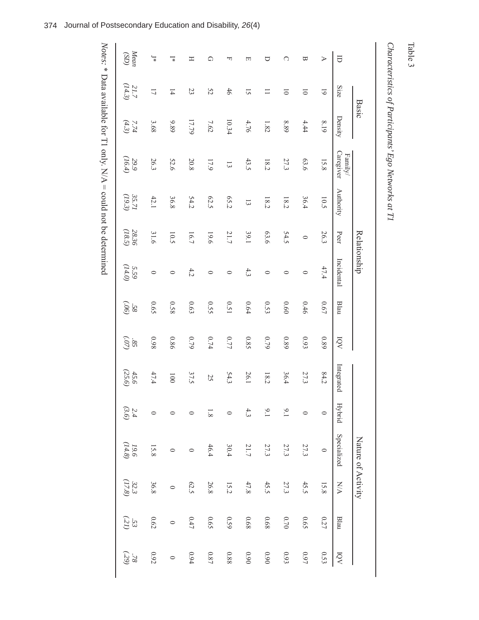# Characteristics of Participants' Ego Networks at T1 *Characteristics of Participants' Ego Networks at T1*

|                         |                  | <b>Basic</b>    |                      |                     |                 | Relationship     |               |                |                |                     | Nature of Activity |                     |          |                   |
|-------------------------|------------------|-----------------|----------------------|---------------------|-----------------|------------------|---------------|----------------|----------------|---------------------|--------------------|---------------------|----------|-------------------|
| θ                       | Size             | Density         | Caregiver<br>Family/ | <b>Authority</b>    | Peer            | Incidental       | Blau          | ΙÓΝ            | Integrated     |                     | Hybrid Specialized | <b>N/A</b>          | Blau     | $\overline{O}$    |
| $\triangleright$        | $\overline{6}$   | 8.19            | 15.8                 | 10.5                | 26.3            | 47.4             | 0.67          | 0.89           | 84.2           | $\circ$             | $\circ$            | 15.8                | 0.27     | 0.53              |
| ₩                       | $\overline{0}$   | 4.44            | 63.6                 | 36.4                | $\circ$         | $\circ$          | 0.46          | 6.93           | 27.3           | $\circ$             | 27.3               | 45.5                | 0.65     | $\sqrt{6.0}$      |
| C                       | $\overline{0}$   | 8.89            | 27.3                 | 18.2                | 54.5            | $\circ$          | 0.60          | 0.89           | 36.4           | $\overline{6}$      | 27.3               | 27.3                | $0.70\,$ | $0.93\,$          |
| ▽                       | $\equiv$         | $1.82\,$        | 18.2                 | 18.2                | 63.6            | $\circ$          | 0.53          | $6\angle 0$    | 18.2           | $6^{1}$             | 27.3               | 45.5                | 89.0     | 060               |
| 口                       | $\overline{S}$   | 4.76            | 43.5                 | $\overline{\omega}$ | 39.1            | 4.3              | $0.64\,$      | 0.85           | 26.1           | 4.3                 | 21.7               | $47.8$              | 89.0     | $0.90\,$          |
| ᆔ                       | $46\,$           | 10.34           | $\overline{\omega}$  | 65.2                | 21.7            | $\circ$          | 0.51          | 0.77           | 54.3           | $\circ$             | 30.4               | 15.2                | 0.59     | $0.88\,$          |
| ♤                       | 52               | $7.62\,$        | $17.9$               | 62.5                | 19.6            | $\circ$          | 0.55          | $0.74\,$       | 25             | $1.8\,$             | 46.4               | 26.8                | 0.65     | $0.87\,$          |
| Ξ                       | 23               | 17.79           | 20.8                 | 54.2                | 16.7            | 4.2              | $0.63\,$      | $6\angle 0$    | 37.5           | $\circ$             |                    | 62.5                | 0.47     | 6.94              |
| $\overline{\mathbf{r}}$ | $\overline{1}$   | 9.89            | 52.6                 | 36.8                | 10.5            | $\circ$          | 820           | 0.86           | 100            |                     | $\circ$            | $\circ$             | $\circ$  | $\circ$           |
| $\overline{\mathbb{R}}$ | $\overline{L}$   | 3.68            | 26.3                 | 42.1                | 31.6            | $\circ$          | 0.65          | 860            | 47.4           |                     | 15.8               | 36.8                | $0.62\,$ | $0.92\,$          |
| Mean                    | $21.7$<br>(14.3) | $7.74$<br>(4.3) | $29.9$<br>(16.4)     | 35.71               | 28.36<br>(18.5) | $5.59$<br>(14.0) | (90)<br>$-58$ | $\frac{85}{3}$ | (25.6)<br>45.6 | $\frac{2.4}{(3.6)}$ | $19.6\atop 114.8$  | $\frac{32.3}{37.8}$ | (33)     | (59)<br>$8\angle$ |
|                         |                  |                 |                      |                     |                 |                  |               |                |                |                     |                    |                     |          |                   |

*Notes:*  $*$  Data available for T1 only.  $N/A = \text{could not be determined}$ \* Data available for T1 only.  $N/A = \text{could not be determined}$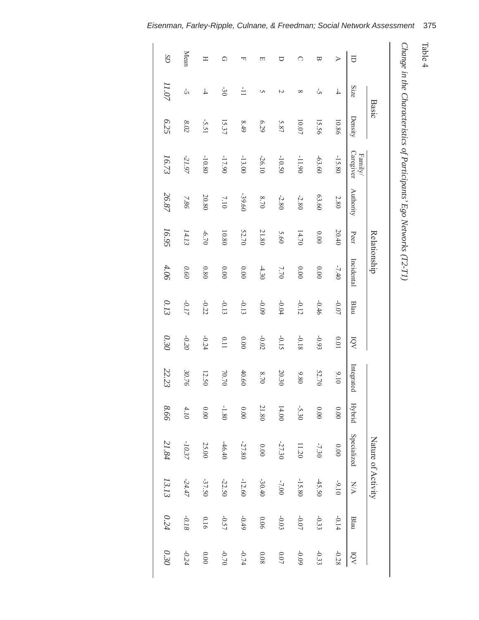| ٦<br>₽<br>┑<br>ם |
|------------------|
| ∸                |

*Change in the Characteristics of Participants' Ego Networks* ( $T2-T1$ )

|                  |                  | <b>Basic</b>  |                      |           | Relationship |            |         |          |                   |          | Nature of Activity |          |         |          |
|------------------|------------------|---------------|----------------------|-----------|--------------|------------|---------|----------|-------------------|----------|--------------------|----------|---------|----------|
| $\Box$           | Size             | Density       | Caregiver<br>Family/ | Authority | Peer         | Incidental | Blau    | ΙQV      | Integrated Hybrid |          | Specialized        | NA       | Blau    | KÓI      |
| $\triangleright$ | $\overline{4}$   | 10.86         | $-15.80$             | 2.80      | 20.40        | $-7.40$    | $-0.07$ | 10.01    | 0116              | $0.00\,$ | 0.00               | $-9.10$  | $-0.14$ | $-0.28$  |
| ₩                | Ů,               | 15.56         | $-63.60$             | 63.60     | $0.00\,$     | $0.00\,$   | $-0.46$ | $-0.93$  | 52.70             | $0.00\,$ | $-7.30$            | $-45.50$ | $-0.33$ | $-0.33$  |
| ∩                | $\infty$         | 10.07         | $-11.90$             | $-2.80$   | 14.70        | $0.00\,$   | $-0.12$ | $-0.18$  | 9.80              | $-5.30$  | 11.20              | $-15.80$ | $-0.07$ | $-0.09$  |
| ∪                | N                | 5.87          | $-10.50$             | $-2.80$   | 5.60         | 7.70       | $-0.04$ | $-0.15$  | 20.30             | 14.00    | $-27.30$           | $-7.00$  | $-0.03$ | $0.07\,$ |
| 口                | S                | 6.29          | $-26.10$             | $8.70$    | 21.80        | $-4.30$    | $-0.09$ | $-0.02$  | $8.70\,$          | 21.80    | $0.00\,$           | $-30.40$ | 0.06    | $0.08\,$ |
| ᆔ                | $\frac{1}{\Box}$ | 8.49          | $-13.00$             | -39.60    | 52.70        | $0.00\,$   | $-0.13$ | $0.00\,$ | 40.60             | $0.00\,$ | $-27.80$           | $-12.60$ | $-0.49$ | $-0.74$  |
| ♤                | $-30$            | 15.37         | $-17.90$             | 7.10      | 10.80        | $0.00\,$   | $-0.13$ | 0.11     | $70.70$           | $-1.80$  | $-46.40$           | $-22.50$ | $-0.57$ | $-0.70$  |
| Ξ                | $\overline{4}$   | -5.51         | $-10.80$             | 20.80     | $-6.70$      | $0.80\,$   | $-0.22$ | $-0.24$  | 12.50             | $0.00\,$ | 25.00              | $-37.50$ | 0.16    | $0.00\,$ |
| Mean             | Ġ,               | $\sqrt{8.02}$ | -21.97               | $7.86\,$  | 14.13        | $0.60\,$   | $-0.17$ | $-0.20$  | $30.76$           | 4.10     | $-10.37$           | $-24.47$ | $-0.18$ | $-0.24$  |
| CS               | 11.07            | 6.25          | 16.73                | 26.87     | 16.95        | 4.06       | 0.13    | 0.30     | 22.23             | 8.66     | 21.84              | 13.13    | 0.24    | 0.30     |
|                  |                  |               |                      |           |              |            |         |          |                   |          |                    |          |         |          |

*Eisenman, Farley-Ripple, Culnane, & Freedman; Social Network Assessment* 375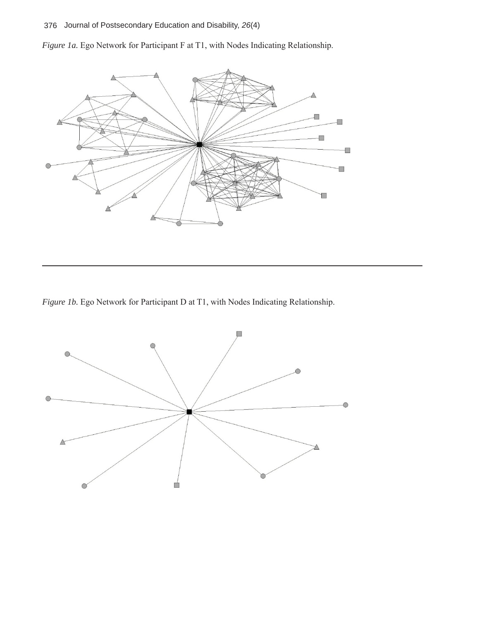## 376Journal of Postsecondary Education and Disability, *26*(4)

*Figure 1a.* Ego Network for Participant F at T1, with Nodes Indicating Relationship.



*Figure 1b.* Ego Network for Participant D at T1, with Nodes Indicating Relationship.

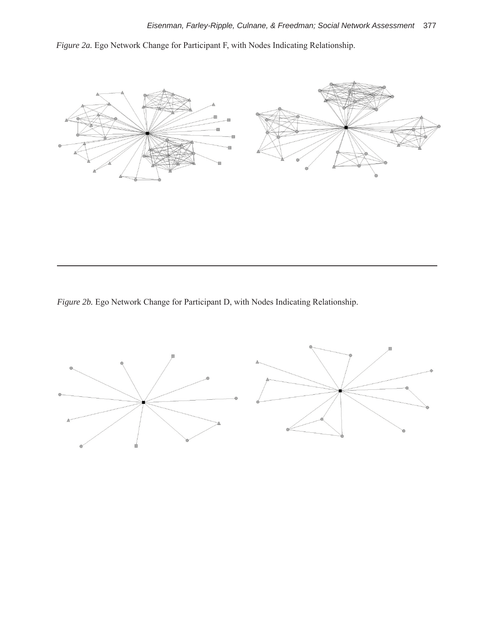*Figure 2a.* Ego Network Change for Participant F, with Nodes Indicating Relationship.



*Figure 2b.* Ego Network Change for Participant D, with Nodes Indicating Relationship.

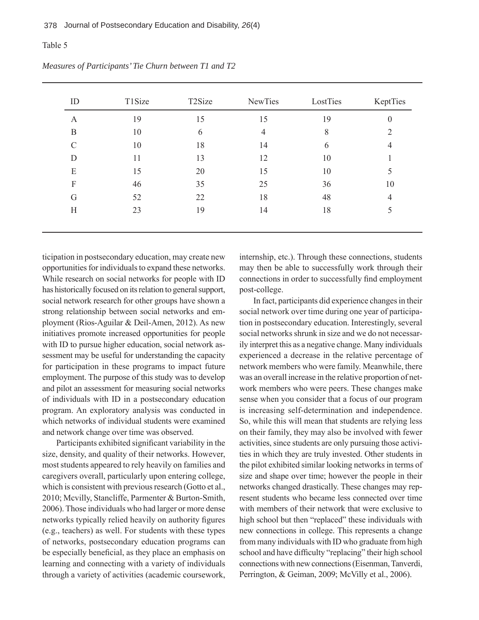| ID            | T1Size | T <sub>2</sub> Size | <b>NewTies</b> | LostTies | KeptTies       |
|---------------|--------|---------------------|----------------|----------|----------------|
| A             | 19     | 15                  | 15             | 19       | $\theta$       |
| B             | 10     | 6                   | 4              | 8        | 2              |
| $\mathcal{C}$ | 10     | 18                  | 14             | 6        | $\overline{4}$ |
| D             | 11     | 13                  | 12             | 10       |                |
| E             | 15     | 20                  | 15             | 10       | 5              |
| F             | 46     | 35                  | 25             | 36       | 10             |
| G             | 52     | 22                  | 18             | 48       | 4              |
| H             | 23     | 19                  | 14             | 18       | 5              |

*Measures of Participants' Tie Churn between T1 and T2* 

ticipation in postsecondary education, may create new opportunities for individuals to expand these networks. While research on social networks for people with ID has historically focused on its relation to general support, social network research for other groups have shown a strong relationship between social networks and employment (Rios-Aguilar & Deil-Amen, 2012). As new initiatives promote increased opportunities for people with ID to pursue higher education, social network assessment may be useful for understanding the capacity for participation in these programs to impact future employment. The purpose of this study was to develop and pilot an assessment for measuring social networks of individuals with ID in a postsecondary education program. An exploratory analysis was conducted in which networks of individual students were examined and network change over time was observed.

Participants exhibited significant variability in the size, density, and quality of their networks. However, most students appeared to rely heavily on families and caregivers overall, particularly upon entering college, which is consistent with previous research (Gotto et al., 2010; Mcvilly, Stancliffe, Parmenter & Burton-Smith, 2006). Those individuals who had larger or more dense networks typically relied heavily on authority figures (e.g., teachers) as well. For students with these types of networks, postsecondary education programs can be especially beneficial, as they place an emphasis on learning and connecting with a variety of individuals through a variety of activities (academic coursework,

internship, etc.). Through these connections, students may then be able to successfully work through their connections in order to successfully find employment post-college.

In fact, participants did experience changes in their social network over time during one year of participation in postsecondary education. Interestingly, several social networks shrunk in size and we do not necessarily interpret this as a negative change. Many individuals experienced a decrease in the relative percentage of network members who were family. Meanwhile, there was an overall increase in the relative proportion of network members who were peers. These changes make sense when you consider that a focus of our program is increasing self-determination and independence. So, while this will mean that students are relying less on their family, they may also be involved with fewer activities, since students are only pursuing those activities in which they are truly invested. Other students in the pilot exhibited similar looking networks in terms of size and shape over time; however the people in their networks changed drastically. These changes may represent students who became less connected over time with members of their network that were exclusive to high school but then "replaced" these individuals with new connections in college. This represents a change from many individuals with ID who graduate from high school and have difficulty "replacing" their high school connections with new connections (Eisenman, Tanverdi, Perrington, & Geiman, 2009; McVilly et al., 2006).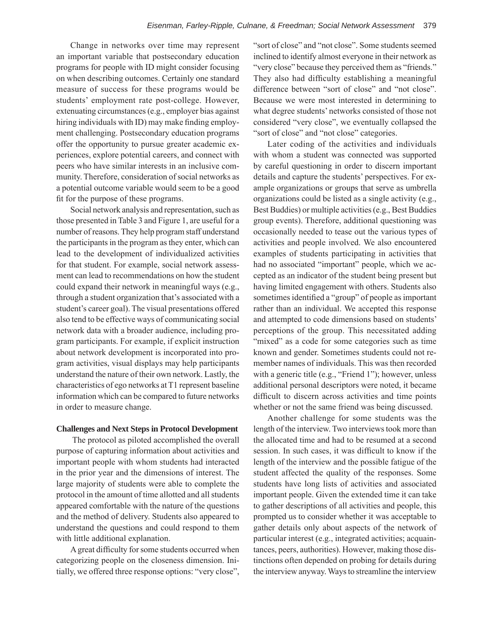Change in networks over time may represent an important variable that postsecondary education programs for people with ID might consider focusing on when describing outcomes. Certainly one standard measure of success for these programs would be students' employment rate post-college. However, extenuating circumstances (e.g., employer bias against hiring individuals with ID) may make finding employment challenging. Postsecondary education programs offer the opportunity to pursue greater academic experiences, explore potential careers, and connect with peers who have similar interests in an inclusive community. Therefore, consideration of social networks as a potential outcome variable would seem to be a good fit for the purpose of these programs.

Social network analysis and representation, such as those presented in Table 3 and Figure 1, are useful for a number of reasons. They help program staff understand the participants in the program as they enter, which can lead to the development of individualized activities for that student. For example, social network assessment can lead to recommendations on how the student could expand their network in meaningful ways (e.g., through a student organization that's associated with a student's career goal). The visual presentations offered also tend to be effective ways of communicating social network data with a broader audience, including program participants. For example, if explicit instruction about network development is incorporated into program activities, visual displays may help participants understand the nature of their own network. Lastly, the characteristics of ego networks at T1 represent baseline information which can be compared to future networks in order to measure change.

#### **Challenges and Next Steps in Protocol Development**

 The protocol as piloted accomplished the overall purpose of capturing information about activities and important people with whom students had interacted in the prior year and the dimensions of interest. The large majority of students were able to complete the protocol in the amount of time allotted and all students appeared comfortable with the nature of the questions and the method of delivery. Students also appeared to understand the questions and could respond to them with little additional explanation.

A great difficulty for some students occurred when categorizing people on the closeness dimension. Initially, we offered three response options: "very close", "sort of close" and "not close". Some students seemed inclined to identify almost everyone in their network as "very close" because they perceived them as "friends." They also had difficulty establishing a meaningful difference between "sort of close" and "not close". Because we were most interested in determining to what degree students' networks consisted of those not considered "very close", we eventually collapsed the "sort of close" and "not close" categories.

Later coding of the activities and individuals with whom a student was connected was supported by careful questioning in order to discern important details and capture the students' perspectives. For example organizations or groups that serve as umbrella organizations could be listed as a single activity (e.g., Best Buddies) or multiple activities (e.g., Best Buddies group events). Therefore, additional questioning was occasionally needed to tease out the various types of activities and people involved. We also encountered examples of students participating in activities that had no associated "important" people, which we accepted as an indicator of the student being present but having limited engagement with others. Students also sometimes identified a "group" of people as important rather than an individual. We accepted this response and attempted to code dimensions based on students' perceptions of the group. This necessitated adding "mixed" as a code for some categories such as time known and gender. Sometimes students could not remember names of individuals. This was then recorded with a generic title (e.g., "Friend 1"); however, unless additional personal descriptors were noted, it became difficult to discern across activities and time points whether or not the same friend was being discussed.

Another challenge for some students was the length of the interview. Two interviews took more than the allocated time and had to be resumed at a second session. In such cases, it was difficult to know if the length of the interview and the possible fatigue of the student affected the quality of the responses. Some students have long lists of activities and associated important people. Given the extended time it can take to gather descriptions of all activities and people, this prompted us to consider whether it was acceptable to gather details only about aspects of the network of particular interest (e.g., integrated activities; acquaintances, peers, authorities). However, making those distinctions often depended on probing for details during the interview anyway. Ways to streamline the interview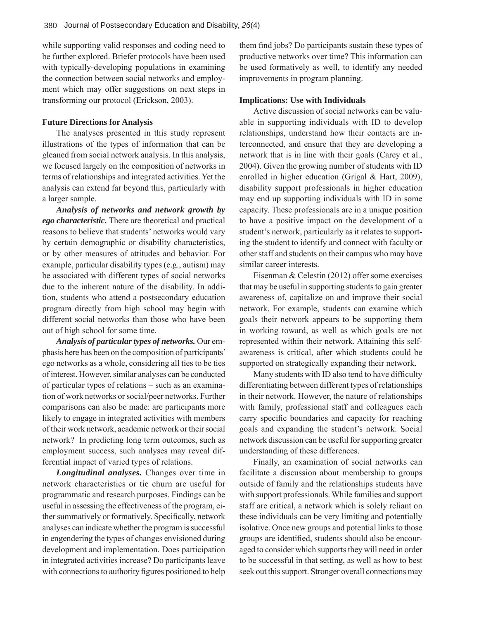while supporting valid responses and coding need to be further explored. Briefer protocols have been used with typically-developing populations in examining the connection between social networks and employment which may offer suggestions on next steps in transforming our protocol (Erickson, 2003).

#### **Future Directions for Analysis**

The analyses presented in this study represent illustrations of the types of information that can be gleaned from social network analysis. In this analysis, we focused largely on the composition of networks in terms of relationships and integrated activities. Yet the analysis can extend far beyond this, particularly with a larger sample.

*Analysis of networks and network growth by ego characteristic.* There are theoretical and practical reasons to believe that students' networks would vary by certain demographic or disability characteristics, or by other measures of attitudes and behavior. For example, particular disability types (e.g., autism) may be associated with different types of social networks due to the inherent nature of the disability. In addition, students who attend a postsecondary education program directly from high school may begin with different social networks than those who have been out of high school for some time.

*Analysis of particular types of networks.* Our emphasis here has been on the composition of participants' ego networks as a whole, considering all ties to be ties of interest. However, similar analyses can be conducted of particular types of relations – such as an examination of work networks or social/peer networks. Further comparisons can also be made: are participants more likely to engage in integrated activities with members of their work network, academic network or their social network? In predicting long term outcomes, such as employment success, such analyses may reveal differential impact of varied types of relations.

*Longitudinal analyses.* Changes over time in network characteristics or tie churn are useful for programmatic and research purposes. Findings can be useful in assessing the effectiveness of the program, either summatively or formatively. Specifically, network analyses can indicate whether the program is successful in engendering the types of changes envisioned during development and implementation. Does participation in integrated activities increase? Do participants leave with connections to authority figures positioned to help

them find jobs? Do participants sustain these types of productive networks over time? This information can be used formatively as well, to identify any needed improvements in program planning.

#### **Implications: Use with Individuals**

Active discussion of social networks can be valuable in supporting individuals with ID to develop relationships, understand how their contacts are interconnected, and ensure that they are developing a network that is in line with their goals (Carey et al., 2004). Given the growing number of students with ID enrolled in higher education (Grigal & Hart, 2009), disability support professionals in higher education may end up supporting individuals with ID in some capacity. These professionals are in a unique position to have a positive impact on the development of a student's network, particularly as it relates to supporting the student to identify and connect with faculty or other staff and students on their campus who may have similar career interests.

Eisenman & Celestin (2012) offer some exercises that may be useful in supporting students to gain greater awareness of, capitalize on and improve their social network. For example, students can examine which goals their network appears to be supporting them in working toward, as well as which goals are not represented within their network. Attaining this selfawareness is critical, after which students could be supported on strategically expanding their network.

Many students with ID also tend to have difficulty differentiating between different types of relationships in their network. However, the nature of relationships with family, professional staff and colleagues each carry specific boundaries and capacity for reaching goals and expanding the student's network. Social network discussion can be useful for supporting greater understanding of these differences.

Finally, an examination of social networks can facilitate a discussion about membership to groups outside of family and the relationships students have with support professionals. While families and support staff are critical, a network which is solely reliant on these individuals can be very limiting and potentially isolative. Once new groups and potential links to those groups are identified, students should also be encouraged to consider which supports they will need in order to be successful in that setting, as well as how to best seek out this support. Stronger overall connections may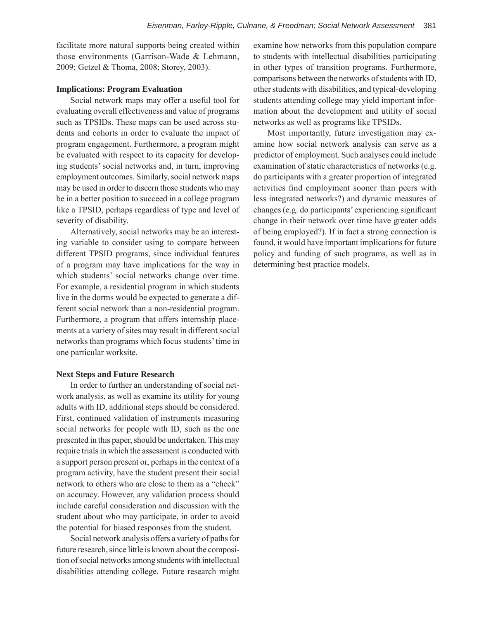facilitate more natural supports being created within those environments (Garrison-Wade & Lehmann, 2009; Getzel & Thoma, 2008; Storey, 2003).

#### **Implications: Program Evaluation**

Social network maps may offer a useful tool for evaluating overall effectiveness and value of programs such as TPSIDs. These maps can be used across students and cohorts in order to evaluate the impact of program engagement. Furthermore, a program might be evaluated with respect to its capacity for developing students' social networks and, in turn, improving employment outcomes. Similarly, social network maps may be used in order to discern those students who may be in a better position to succeed in a college program like a TPSID, perhaps regardless of type and level of severity of disability.

Alternatively, social networks may be an interesting variable to consider using to compare between different TPSID programs, since individual features of a program may have implications for the way in which students' social networks change over time. For example, a residential program in which students live in the dorms would be expected to generate a different social network than a non-residential program. Furthermore, a program that offers internship placements at a variety of sites may result in different social networks than programs which focus students' time in one particular worksite.

#### **Next Steps and Future Research**

In order to further an understanding of social network analysis, as well as examine its utility for young adults with ID, additional steps should be considered. First, continued validation of instruments measuring social networks for people with ID, such as the one presented in this paper, should be undertaken. This may require trials in which the assessment is conducted with a support person present or, perhaps in the context of a program activity, have the student present their social network to others who are close to them as a "check" on accuracy. However, any validation process should include careful consideration and discussion with the student about who may participate, in order to avoid the potential for biased responses from the student.

Social network analysis offers a variety of paths for future research, since little is known about the composition of social networks among students with intellectual disabilities attending college. Future research might

examine how networks from this population compare to students with intellectual disabilities participating in other types of transition programs. Furthermore, comparisons between the networks of students with ID, other students with disabilities, and typical-developing students attending college may yield important information about the development and utility of social networks as well as programs like TPSIDs.

Most importantly, future investigation may examine how social network analysis can serve as a predictor of employment. Such analyses could include examination of static characteristics of networks (e.g. do participants with a greater proportion of integrated activities find employment sooner than peers with less integrated networks?) and dynamic measures of changes (e.g. do participants' experiencing significant change in their network over time have greater odds of being employed?). If in fact a strong connection is found, it would have important implications for future policy and funding of such programs, as well as in determining best practice models.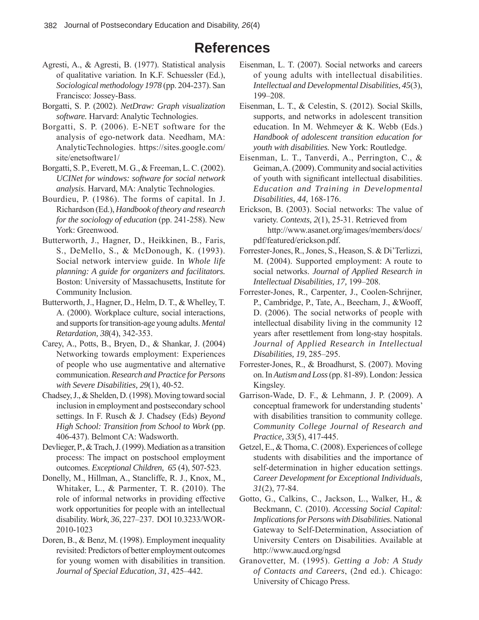# **References**

- Agresti, A., & Agresti, B. (1977). Statistical analysis of qualitative variation. In K.F. Schuessler (Ed.), *Sociological methodology 1978* (pp. 204-237). San Francisco: Jossey-Bass.
- Borgatti, S. P. (2002). *NetDraw: Graph visualization software.* Harvard: Analytic Technologies.
- Borgatti, S. P. (2006). E-NET software for the analysis of ego-network data. Needham, MA: AnalyticTechnologies. https://sites.google.com/ site/enetsoftware1/
- Borgatti, S. P., Everett, M. G., & Freeman, L. C. (2002). *UCINet for windows: software for social network analysis*. Harvard, MA: Analytic Technologies.
- Bourdieu, P. (1986). The forms of capital. In J. Richardson (Ed.), *Handbook of theory and research for the sociology of education* (pp. 241-258). New York: Greenwood.
- Butterworth, J., Hagner, D., Heikkinen, B., Faris, S., DeMello, S., & McDonough, K. (1993). Social network interview guide. In *Whole life planning: A guide for organizers and facilitators.*  Boston: University of Massachusetts, Institute for Community Inclusion.
- Butterworth, J., Hagner, D., Helm, D. T., & Whelley, T. A. (2000). Workplace culture, social interactions, and supports for transition-age young adults. *Mental Retardation, 38*(4), 342-353.
- Carey, A., Potts, B., Bryen, D., & Shankar, J. (2004) Networking towards employment: Experiences of people who use augmentative and alternative communication. *Research and Practice for Persons with Severe Disabilities, 29*(1), 40-52.
- Chadsey, J., & Shelden, D. (1998). Moving toward social inclusion in employment and postsecondary school settings. In F. Rusch & J. Chadsey (Eds) *Beyond High School: Transition from School to Work* (pp. 406-437). Belmont CA: Wadsworth.
- Devlieger, P., & Trach, J. (1999). Mediation as a transition process: The impact on postschool employment outcomes. *Exceptional Children, 65* (4), 507-523.
- Donelly, M., Hillman, A., Stancliffe, R. J., Knox, M., Whitaker, L., & Parmenter, T. R. (2010). The role of informal networks in providing effective work opportunities for people with an intellectual disability. *Work, 36*, 227–237. DOI 10.3233/WOR-2010-1023
- Doren, B., & Benz, M. (1998). Employment inequality revisited: Predictors of better employment outcomes for young women with disabilities in transition. *Journal of Special Education, 31*, 425–442.
- Eisenman, L. T. (2007). Social networks and careers of young adults with intellectual disabilities. *Intellectual and Developmental Disabilities, 45*(3), 199–208.
- Eisenman, L. T., & Celestin, S. (2012). Social Skills, supports, and networks in adolescent transition education. In M. Wehmeyer & K. Webb (Eds.) *Handbook of adolescent transition education for youth with disabilities.* New York: Routledge.
- Eisenman, L. T., Tanverdi, A., Perrington, C., & Geiman, A. (2009). Community and social activities of youth with significant intellectual disabilities. *Education and Training in Developmental Disabilities, 44,* 168-176.
- Erickson, B. (2003). Social networks: The value of variety. *Contexts, 2*(1), 25-31. Retrieved from http://www.asanet.org/images/members/docs/ pdf/featured/erickson.pdf.
- Forrester-Jones, R., Jones, S., Heason, S. & Di'Terlizzi, M. (2004). Supported employment: A route to social networks. *Journal of Applied Research in Intellectual Disabilities, 17,* 199–208.
- Forrester-Jones, R., Carpenter, J., Coolen-Schrijner, P., Cambridge, P., Tate, A., Beecham, J., &Wooff, D. (2006). The social networks of people with intellectual disability living in the community 12 years after resettlement from long-stay hospitals. *Journal of Applied Research in Intellectual Disabilities, 19*, 285–295.
- Forrester-Jones, R., & Broadhurst, S. (2007). Moving on. In *Autism and Loss* (pp. 81-89). London: Jessica Kingsley.
- Garrison-Wade, D. F., & Lehmann, J. P. (2009). A conceptual framework for understanding students' with disabilities transition to community college. *Community College Journal of Research and Practice, 33*(5), 417-445.
- Getzel, E., & Thoma, C. (2008). Experiences of college students with disabilities and the importance of self-determination in higher education settings. *Career Development for Exceptional Individuals, 31*(2), 77-84.
- Gotto, G., Calkins, C., Jackson, L., Walker, H., & Beckmann, C. (2010). *Accessing Social Capital: Implications for Persons with Disabilities.* National Gateway to Self-Determination, Association of University Centers on Disabilities. Available at http://www.aucd.org/ngsd
- Granovetter, M. (1995). *Getting a Job: A Study of Contacts and Careers*, (2nd ed.). Chicago: University of Chicago Press.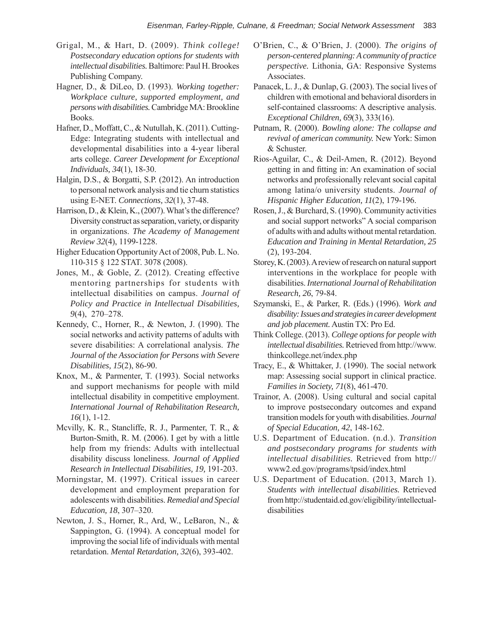- Grigal, M., & Hart, D. (2009). *Think college! Postsecondary education options for students with intellectual disabilities.* Baltimore: Paul H. Brookes Publishing Company.
- Hagner, D., & DiLeo, D. (1993). *Working together: Workplace culture, supported employment, and persons with disabilities.* Cambridge MA: Brookline Books.
- Hafner, D., Moffatt, C., & Nutullah, K. (2011). Cutting-Edge: Integrating students with intellectual and developmental disabilities into a 4-year liberal arts college. *Career Development for Exceptional Individuals, 34*(1), 18-30.
- Halgin, D.S., & Borgatti, S.P. (2012). An introduction to personal network analysis and tie churn statistics using E-NET. *Connections, 32*(1), 37-48.
- Harrison, D., & Klein, K., (2007). What's the difference? Diversity construct as separation, variety, or disparity in organizations. *The Academy of Management Review 32*(4), 1199-1228.
- Higher Education Opportunity Act of 2008, Pub. L. No. 110-315 § 122 STAT. 3078 (2008).
- Jones, M., & Goble, Z. (2012). Creating effective mentoring partnerships for students with intellectual disabilities on campus. *Journal of Policy and Practice in Intellectual Disabilities, 9*(4), 270–278.
- Kennedy, C., Horner, R., & Newton, J. (1990). The social networks and activity patterns of adults with severe disabilities: A correlational analysis. *The Journal of the Association for Persons with Severe Disabilities, 15*(2), 86-90.
- Knox, M., & Parmenter, T. (1993). Social networks and support mechanisms for people with mild intellectual disability in competitive employment. *International Journal of Rehabilitation Research, 16*(1), 1-12.
- Mcvilly, K. R., Stancliffe, R. J., Parmenter, T. R., & Burton-Smith, R. M. (2006). I get by with a little help from my friends: Adults with intellectual disability discuss loneliness. *Journal of Applied Research in Intellectual Disabilities, 19,* 191-203.
- Morningstar, M. (1997). Critical issues in career development and employment preparation for adolescents with disabilities. *Remedial and Special Education, 18*, 307–320.
- Newton, J. S., Horner, R., Ard, W., LeBaron, N., & Sappington, G. (1994). A conceptual model for improving the social life of individuals with mental retardation. *Mental Retardation, 32*(6), 393-402.
- O'Brien, C., & O'Brien, J. (2000). *The origins of person-centered planning: A community of practice perspective.* Lithonia, GA: Responsive Systems Associates.
- Panacek, L. J., & Dunlap, G. (2003). The social lives of children with emotional and behavioral disorders in self-contained classrooms: A descriptive analysis. *Exceptional Children, 69*(3), 333(16).
- Putnam, R. (2000). *Bowling alone: The collapse and revival of american community.* New York: Simon & Schuster.
- Rios-Aguilar, C., & Deil-Amen, R. (2012). Beyond getting in and fitting in: An examination of social networks and professionally relevant social capital among latina/o university students. *Journal of Hispanic Higher Education, 11*(2), 179-196.
- Rosen, J., & Burchard, S. (1990). Community activities and social support networks" A social comparison of adults with and adults without mental retardation. *Education and Training in Mental Retardation, 25*  (2), 193-204.
- Storey, K. (2003). A review of research on natural support interventions in the workplace for people with disabilities. *International Journal of Rehabilitation Research, 26*, 79-84.
- Szymanski, E., & Parker, R. (Eds.) (1996). *Work and disability: Issues and strategies in career development and job placement.* Austin TX: Pro Ed.
- Think College. (2013). *College options for people with intellectual disabilities.* Retrieved from http://www. thinkcollege.net/index.php
- Tracy, E., & Whittaker, J. (1990). The social network map: Assessing social support in clinical practice. *Families in Society, 71*(8), 461-470.
- Trainor, A. (2008). Using cultural and social capital to improve postsecondary outcomes and expand transition models for youth with disabilities. *Journal of Special Education, 42*, 148-162.
- U.S. Department of Education. (n.d.). *Transition and postsecondary programs for students with intellectual disabilities.* Retrieved from http:// www2.ed.gov/programs/tpsid/index.html
- U.S. Department of Education. (2013, March 1). *Students with intellectual disabilities.* Retrieved from http://studentaid.ed.gov/eligibility/intellectualdisabilities